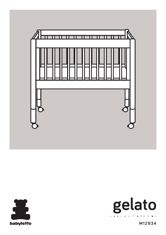





M12934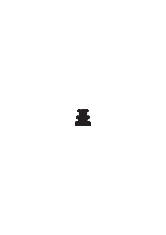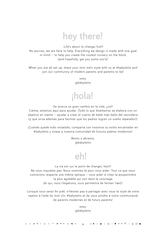

Life's about to change, huh?

No worries, we are here to help. Everything we design is made with one goal in mind – to help you create the coolest nursery on the block (and hopefully, get you some zzz's)!

When you are all set up, share your mini me's style with us at #babyletto and join our community of modern parents and parents-to-be!

> xoxo, @babyletto

# **¡hola!**

Se acerca un gran cambio en la vida, ¿no?

Calma, estamos aquí para ayudar. ¡Todo lo que diseñamos se elabora con un objetivo en mente – ayudar a crear el cuarto de bebé más bello del vecindario (y que sirva además para facilitar que los padres logren un sueño reparador)!

¡Cuando quede todo instalado, comparta con nosotros su estilo encantador en #babyletto y únase a nuestra comunidad de futuros padres modernos!

> Besos y abrazos, @babyletto

## **eh!**

La vie est sur le point de changer, hein? Ne vous inquiétez pas. Nous sommes là pour vous aider. Tout ce que nous concevons respecte une même optique – vous aider à créer la pouponnière la plus agréable qui soit dans le voisinage (et qui, nous l'espérons, vous permettra de fermer l'œil)!

Lorsque vous serez fin prêt, n'hésitez pas à partager avec nous le style de votre rejeton à l'aide du mot-clic #babyletto et de vous joindre à notre communauté de parents modernes et de futurs parents!

> xoxo, @babyletto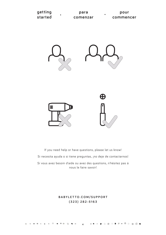

**para comenzar**

**pour commencer**



If you need help or have questions, please let us know!

Si necesita ayuda o si tiene preguntas, ¡no deje de contactarnos!

Si vous avez besoin d'aide ou avez des questions, n'hésitez pas à nous le faire savoir!

### **BABYLETTO.COM/SUPPORT (323) 282-5163**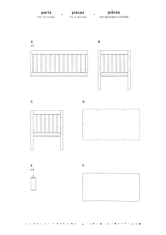



 $\mathsf{C}$ 

D





 $\frac{E}{2}$ 

 $\sqrt{ }$ 

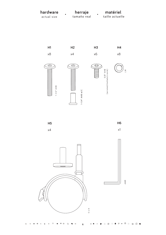| hardware    | herraje     | matériel        |  |
|-------------|-------------|-----------------|--|
| actual size | tamaño real | taille actuelle |  |
|             |             |                 |  |



1-1/2" AHB

 $1-1/2"$  AHB





**H3**

L W

AWR

 $\bullet$ 

 $\bullet$  $\begin{array}{c} \bullet \\ \bullet \end{array}$  $\bullet$ 

**H4**





 $\bullet$ ۸  $\bullet$  $\bullet$ **6**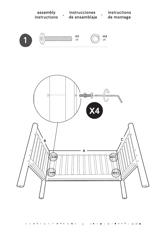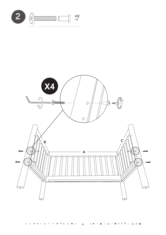



 $\mathbf{a}$ 

 $\bullet$   $\bullet$ 

 $\bullet$  $\bullet\bullet$ 

 $\sqrt{2}$  $\bullet$ 

 $\sim$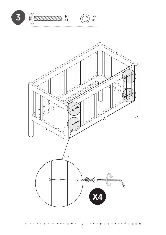



. . . . . . . . . . . . . . . .

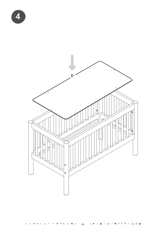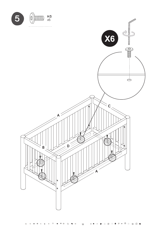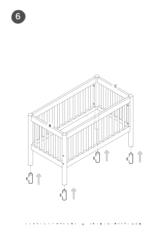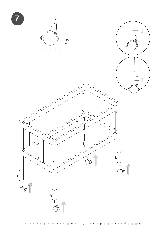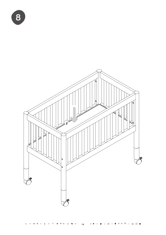

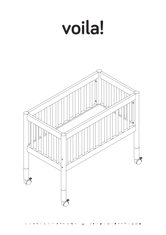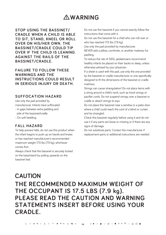## **WARNING**

**STOP USING THE BASSINET/ CRADLE WHEN A CHILD IS ABLE TO SIT, STAND, KNEEL OR ROLL OVER ON HIS/HER OWN. THE BASSINET/CRADLE COULD TIP OVER IF THE CHILD IS LEANING AGAINST THE RAILS OF THE BASSINET/CRADLE.**

**FAILURE TO FOLLOW THESE WARNINGS AND THE INSTRUCTIONS COULD RESULT IN SERIOUS INJURY OR DEATH.**

### **SUFFOCATION HAZARD**

Use only the pad provided by manufacturer. Infants have suffocated:

- In gaps between extra padding and side of the bassinet/cradle
- On soft bedding

## **FALL HAZARD**

To help prevent falls, do not use this product when the infant begins to push up on hands and knees or has reached manufacturer's recommended maximum weight 17.5 lbs (7.9 kg), whichever comes first.

Always check that the bassinet is securely locked on the base/stand by pulling upwards on the bassinet bed.

Do not use this bassinet if you cannot exactly follow the instructions that come with it.

Do not use this bassinet for a child who can roll over or who has reached 17.5 lbs (7.9 kg).

Use only the pad provided by manufacturer.

NEVER add a pillow, comforter, or another mattress for padding.

To reduce the risk of SIDS, pediatricians recommend healthy infants be placed on their backs to sleep, unless otherwise advised by your physician.

If a sheet is used with the pad, use only the one provided by the bassinet or cradle manufacturer or one specifically designed to fit the dimensions of the bassinet or cradle mattress.

Strings can cause strangulation! Do not place items with a string around a child's neck, such as hood strings or pacifier cords. Do not suspend strings over a bassinet or cradle or attach strings to toys.

Do not place this bassinet near a window or a patio door where a child could reach the cord of a blind or curtain and be strangled.

Check this bassinet regularly before using it and do not use it if any parts are loose or missing or if there are any signs of damage.

Do not substitute parts. Contact the manufacturer if replacement parts or additional instructions are needed.

## **CAUTION THE RECOMMENDED MAXIMUM WEIGHT OF THE OCCUPANT IS 17.5 LBS (7.9 kg). PLEASE READ THE CAUTION AND WARNING STATEMENTS INSERT BEFORE USING YOUR CRADLE.**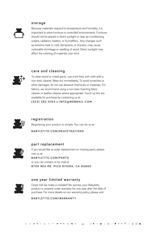#### **storage**



Because materials respond to temperature and humidity, it is important to store furniture in controlled environments. Furniture should not be placed in direct sunlight or near air-conditioning outlets, radiators, heaters, or humidifiers. Any changes such as extreme heat or cold, dampness, or dryness, may cause noticeable shrinkage or swelling of wood. Direct sunlight may affect the coloring of materials over time.

#### **care and cleaning**



To clean wood or metal parts, use a lint-free, soft cloth with a non-toxic cleaner. Wipe dry immediately. To avoid scratches or other damages, do not use abrasive chemicals or materials. For fabrics, we recommend using a non-toxic foaming fabric cleaner or leather cleaner where appropriate. Touch up kits are available for purchase by contacting us at:

**(323) 282-5163** or **INFO@MDBMAIL.COM**



### **registration**

Registering your product is simple. You can do so at:

**BABYLETTO.COM/REGISTRATIONS**



#### **part replacement**

If you would like to order replacement or missing parts, please visit us at: **BABYLETTO.COM/PARTS**

or you can contact us by mail at: **8700 REX RD. PICO RIVERA, CA 90660** 

#### **one year limited warranty**



Oops! Did we make a mistake? No worries, your Babyletto product is covered under warranty for one year after the date of purchase. For more details on our warranty policy, please visit:

**BABYLETTO.COM/WARRANTY**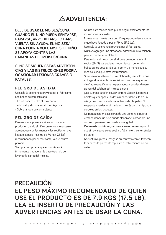## **ADVERTENCIA:**

**DEJE DE USAR EL MOISÉS/CUNA CUANDO EL NIÑO PUEDA SENTARSE, PARARSE, ARRODILLARSE O DARSE VUELTA SIN AYUDA. EL MOISÉS/ CUNA PODRÍA VOLCARSE SI EL NIÑO SE APOYA CONTRA LAS BARANDAS DEL MOISÉS/CUNA.**

## **SI NO SE SIGUEN ESTAS ADVERTEN-CIAS Y LAS INSTRUCCIONES PODRÍA OCASIONAR LESIONES GRAVES O FATALES.**

## **PELIGRO DE ASFIXIA**

Use solo la colchoneta provista por el fabricante. Los bebés se han asfixiado:

- En los huecos entre el acolchado adicional y el costado del moisés/cuna
- Sobre la ropa de cama blanda

## **PELIGRO DE CAÍDA**

Para ayudar a prevenir caídas, no use este producto cuando el niño comience a levantarse apoyándose con las manos y las rodillas o haya llegado al peso máximo de 7.9 kg (17.5 lbs) recomendado por el fabricante, lo que ocurra primero.

Siempre compruebe que el moisés esté firmemente trabado en la base tratando de levantar la cama del moisés.

No use este moisés si no puede seguir exactamente las instrucciones incluidas.

No use este moisés para un niño que pueda darse vuelta o que haya llegado a pesar 7.9 kg (17.5 lbs).

Use solo la colchoneta provista por el fabricante.

NUNCA agregue una almohada, edredón ni otro colchón para aumentar el acolchado.

Para reducir el riesgo del síndrome de muerte infantil súbita (SMIS), los pediatras recomiendan poner a los bebés sanos boca arriba para dormir, a menos que su médico le indique otras instrucciones.

Si se usa una sábana con la colchoneta, use solo la que entrega el fabricante del moisés o cuna o una que sea diseñada específicamente para adecuarse a las dimensiones del colchón del moisés o cuna.

¡Las cuerdas pueden causar estrangulación! No ponga objetos que tengan cuerdas alrededor del cuello de un niño, como cordones de capuchas o de chupetes. No suspenda cuerdas encima de un moisés o cuna ni ponga cordeles en los juguetes.

No ponga este moisés cerca de una ventana o puerta ventana donde un niño pueda alcanzar el cordón de una cortina o persiana que pueda estrangularlo.

Revise este moisés regularmente antes de usarlo y no lo use si hay alguna pieza suelta o faltante o si tiene señales de daño.

No sustituya piezas. Póngase en contacto con el fabricante si necesita piezas de repuesto o instrucciones adicionales.

**PRECAUCIÓN EL PESO MÁXIMO RECOMENDADO DE QUIEN USE EL PRODUCTO ES DE 7.9 KGS (17.5 LB). LEA EL INSERTO DE PRECAUCIÓN Y LAS ADVERTENCIAS ANTES DE USAR LA CUNA.**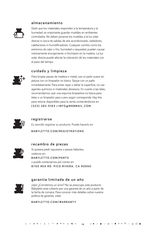#### **almacenamiento**



Dado que los materiales responden a la temperatura y la humedad, es importante guardar muebles en ambientes controlados. No deben ponerse los muebles a la luz solar directa ni cerca de salidas de aire acondicionado, radiadores, calefactores ni humidificadores. Cualquier cambio como los extremos de calor o frío, humedad o sequedad, pueden causar notoriamente encogimiento o hinchazón en la madera. La luz solar directa puede afectar la coloración de los materiales con el paso del tiempo.

#### **cuidado y limpieza**



Para limpiar piezas de madera o metal, use un paño suave sin pelusa con un limpiador no tóxico. Seque con un paño inmediatamente. Para evitar rayar o dañar la superficie, no use agentes químicos ni materiales abrasivos. En cuanto a las telas, recomendamos usar una espuma limpiadora no tóxica para telas o un limpiador para cuero según corresponda. Hay kits para retocar disponibles para la venta contactándonos en: **(323) 282-5163** o **INFO@MDBMAIL.COM**



#### **registrarse**

Es sencillo registrar su producto. Puede hacerlo en:

**BABYLETTO.COM/REGISTRATIONS**



#### **recambio de piezas**

Si quisiera pedir repuestos o piezas faltantes, visítenos en: **BABYLETTO.COM/PARTS** o puede contactarnos por correo en: **8700 REX RD. PICO RIVERA, CA 90660** 

#### **garantía limitada de un año**



¡Ups! ¿Cometimos un error? No se preocupe, este producto Babyletto está cubierto por una garantía de un año a partir de la fecha de compra. Para conocer más detalles sobre nuestra política de garantía, visite:

#### **BABYLETTO.COM/WARRANTY**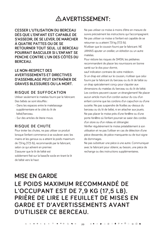## **AVERTISSEMENT:**

**CESSER L'UTILISATION DU BERCEAU DÈS QUE L'ENFANT EST CAPABLE DE S'ASSEOIR, DE SE LEVER, DE MARCHER À QUATRE PATTES OU DE SE RETOURNER TOUT SEUL. LE BERCEAU POURRAIT BASCULER SI L'ENFANT SE PENCHE CONTRE L'UN DES CÔTÉS DU BERCEAU.**

## **LE NON-RESPECT DES AVERTISSEMENTS ET DIRECTIVES D'ASSEMBLAGE PEUT ENTRAÎNER DE GRAVES BLESSURES OU LA MORT.**

### **RISQUE DE SUFFOCATION**

Utiliser seulement le matelas fourni par le fabricant. Des bébés se sont étouffés :

- Dans les espaces entre le matelassage supplémentaire et le côté du lit de bébé/berceau.
- Sur des articles de literie mous.

## **RISQUE DE CHUTE**

Pour éviter les chutes, ne pas utiliser ce produit lorsque l'enfant commence à se soulever avec les mains et les genoux ou a atteint le poids maximum de 7,9 kg (17,5 lb), recommandé par le fabricant, selon ce qui advient en premier. S'assurer que le lit de bébé est solidement fixé sur la base/le socle en tirant le lit de bébé vers le haut.

Ne pas utiliser ce moïse à moins d'être en mesure de suivre précisément les instructions qui l'accompagnent. Ne pas utiliser ce moïse si l'enfant est capable de se retourner ou a atteint 7,9 kg (17,5 lb).

N'utiliser que le coussin fourni par le fabricant. NE JAMAIS ajouter un oreiller, un édredon ou un autre matelas.

Pour réduire les risques de SMSN, les pédiatres recommandent de placer les nourrissons en bonne santé sur le dos pour dormir,

sauf indication contraire de votre médecin.

Si un drap est utilisé sur le coussin, n'utiliser que celui fourni par le fabricant du berceau ou du lit de bébé ou un drap spécialement conçu pour s'ajuster aux dimensions du matelas du berceau ou du lit de bébé. Les cordons peuvent causer un étranglement! Ne placer aucun article muni d'un cordon autour du cou d'un enfant comme que les cordons d'un capuchon ou d'une sucette. Ne pas suspendre de ficelles au-dessus du berceau ou du lit de bébé, ni en attacher aux jouets. Ne pas placer le moïse près d'une fenêtre ou d'une porte-fenêtre où l'enfant pourrait se saisir des cordes d'un store ou d'un rideau et s'étrangler.

Vérifier régulièrement le moïse préalablement à son utilisation et ne pas l'utiliser en cas de détection d'une pièce desserrée, de pièce manquante ou de tout signe de dommages.

Ne pas substituer une pièce à une autre. Communiquer avec le fabricant pour obtenir, au besoin, une pièce de rechange ou des instructions supplémentaires.

## **MISE EN GARDE LE POIDS MAXIMUM RECOMMANDÉ DE L'OCCUPANT EST DE 7,9 KG (17,5 LB). PRIÈRE DE LIRE LE FEUILLET DE MISES EN GARDE ET D'AVERTISSEMENTS AVANT D'UTILISER CE BERCEAU.**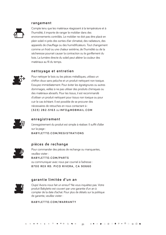#### **rangement**



Compte tenu que les matériaux réagissent à la température et à l'humidité, il importe de ranger le mobilier dans des environnements contrôlés. Le mobilier ne doit pas être placé en plein soleil ni près des sorties d'air climatisé, des radiateurs, des appareils de chauffage ou des humidificateurs. Tout changement comme un froid ou une chaleur extrême, de l'humidité ou de la sécheresse pourrait causer la contraction ou le gonflement du bois. La lumière directe du soleil peut altérer la couleur des matériaux au fil du temps.

#### **nettoyage et entretien**



Pour nettoyer le bois ou les pièces métalliques, utilisez un chiffon doux sans peluche et un produit nettoyant non toxique. Essuyez immédiatement. Pour éviter les égratignures ou autres dommages, veillez à ne pas utiliser des produits chimiques ou des matériaux abrasifs. Pour les tissus, il est recommandé d'utiliser un produit nettoyant pour tissus non toxique ou pour cuir le cas échéant. Il est possible de se procurer des nécessaires de retouches en nous contactant à : **(323) 282-5163** ou **INFO@MDBMAIL.COM**



#### **enregistrement**

L'enregistrement du produit est simple à réaliser. Il suffit d'aller sur la page :

**BABYLETTO.COM/REGISTRATIONS**



### **pièces de rechange**

Pour commander des pièces de rechange ou manquantes, veuillez visiter : **BABYLETTO.COM/PARTS**

ou communiquer avec nous par courriel à l'adresse : **8700 REX RD. PICO RIVERA, CA 90660** 

#### **garantie limitée d'un an**



Oups! Avons-nous fait un erreur? Ne vous inquiétez pas. Votre produit Babyletto est couvert par une garantie d'un an à compter de la date d'achat. Pour plus de détails sur la politique de garantie, veuillez visiter :

#### **BABYLETTO.COM/WARRANTY**